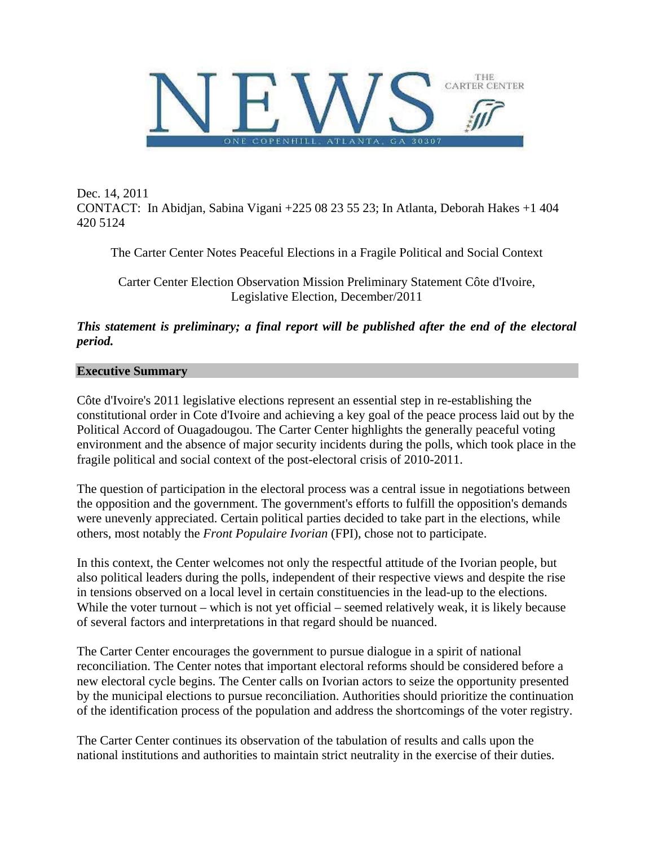

Dec. 14, 2011 CONTACT: In Abidjan, Sabina Vigani +225 08 23 55 23; In Atlanta, Deborah Hakes +1 404 420 5124

The Carter Center Notes Peaceful Elections in a Fragile Political and Social Context

Carter Center Election Observation Mission Preliminary Statement Côte d'Ivoire, Legislative Election, December/2011

*This statement is preliminary; a final report will be published after the end of the electoral period.* 

### **Executive Summary**

Côte d'Ivoire's 2011 legislative elections represent an essential step in re-establishing the constitutional order in Cote d'Ivoire and achieving a key goal of the peace process laid out by the Political Accord of Ouagadougou. The Carter Center highlights the generally peaceful voting environment and the absence of major security incidents during the polls, which took place in the fragile political and social context of the post-electoral crisis of 2010-2011.

The question of participation in the electoral process was a central issue in negotiations between the opposition and the government. The government's efforts to fulfill the opposition's demands were unevenly appreciated. Certain political parties decided to take part in the elections, while others, most notably the *Front Populaire Ivorian* (FPI), chose not to participate.

In this context, the Center welcomes not only the respectful attitude of the Ivorian people, but also political leaders during the polls, independent of their respective views and despite the rise in tensions observed on a local level in certain constituencies in the lead-up to the elections. While the voter turnout – which is not yet official – seemed relatively weak, it is likely because of several factors and interpretations in that regard should be nuanced.

The Carter Center encourages the government to pursue dialogue in a spirit of national reconciliation. The Center notes that important electoral reforms should be considered before a new electoral cycle begins. The Center calls on Ivorian actors to seize the opportunity presented by the municipal elections to pursue reconciliation. Authorities should prioritize the continuation of the identification process of the population and address the shortcomings of the voter registry.

The Carter Center continues its observation of the tabulation of results and calls upon the national institutions and authorities to maintain strict neutrality in the exercise of their duties.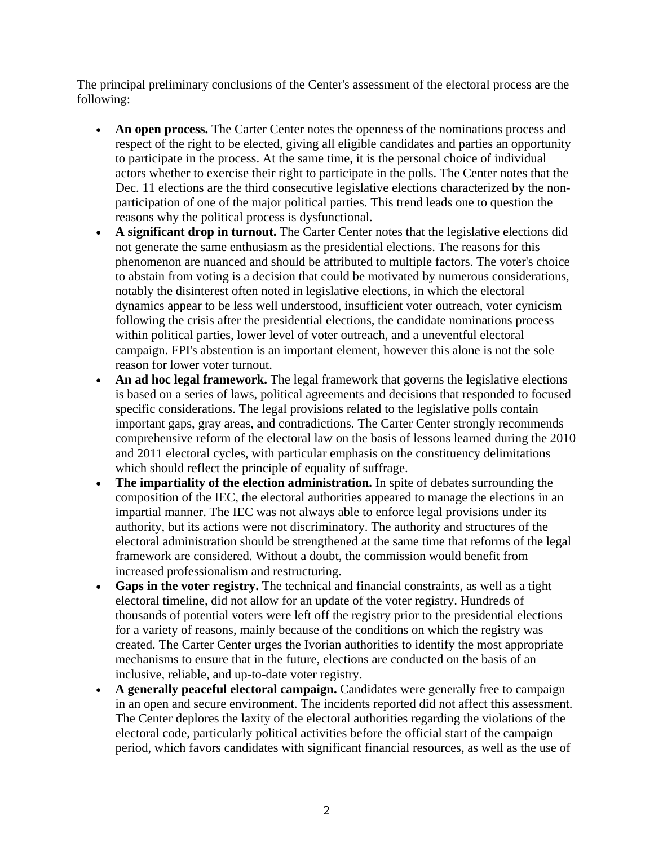The principal preliminary conclusions of the Center's assessment of the electoral process are the following:

- **An open process.** The Carter Center notes the openness of the nominations process and respect of the right to be elected, giving all eligible candidates and parties an opportunity to participate in the process. At the same time, it is the personal choice of individual actors whether to exercise their right to participate in the polls. The Center notes that the Dec. 11 elections are the third consecutive legislative elections characterized by the nonparticipation of one of the major political parties. This trend leads one to question the reasons why the political process is dysfunctional.
- **A significant drop in turnout.** The Carter Center notes that the legislative elections did not generate the same enthusiasm as the presidential elections. The reasons for this phenomenon are nuanced and should be attributed to multiple factors. The voter's choice to abstain from voting is a decision that could be motivated by numerous considerations, notably the disinterest often noted in legislative elections, in which the electoral dynamics appear to be less well understood, insufficient voter outreach, voter cynicism following the crisis after the presidential elections, the candidate nominations process within political parties, lower level of voter outreach, and a uneventful electoral campaign. FPI's abstention is an important element, however this alone is not the sole reason for lower voter turnout.
- **An ad hoc legal framework.** The legal framework that governs the legislative elections is based on a series of laws, political agreements and decisions that responded to focused specific considerations. The legal provisions related to the legislative polls contain important gaps, gray areas, and contradictions. The Carter Center strongly recommends comprehensive reform of the electoral law on the basis of lessons learned during the 2010 and 2011 electoral cycles, with particular emphasis on the constituency delimitations which should reflect the principle of equality of suffrage.
- **The impartiality of the election administration.** In spite of debates surrounding the composition of the IEC, the electoral authorities appeared to manage the elections in an impartial manner. The IEC was not always able to enforce legal provisions under its authority, but its actions were not discriminatory. The authority and structures of the electoral administration should be strengthened at the same time that reforms of the legal framework are considered. Without a doubt, the commission would benefit from increased professionalism and restructuring.
- **Gaps in the voter registry.** The technical and financial constraints, as well as a tight electoral timeline, did not allow for an update of the voter registry. Hundreds of thousands of potential voters were left off the registry prior to the presidential elections for a variety of reasons, mainly because of the conditions on which the registry was created. The Carter Center urges the Ivorian authorities to identify the most appropriate mechanisms to ensure that in the future, elections are conducted on the basis of an inclusive, reliable, and up-to-date voter registry.
- **A generally peaceful electoral campaign.** Candidates were generally free to campaign in an open and secure environment. The incidents reported did not affect this assessment. The Center deplores the laxity of the electoral authorities regarding the violations of the electoral code, particularly political activities before the official start of the campaign period, which favors candidates with significant financial resources, as well as the use of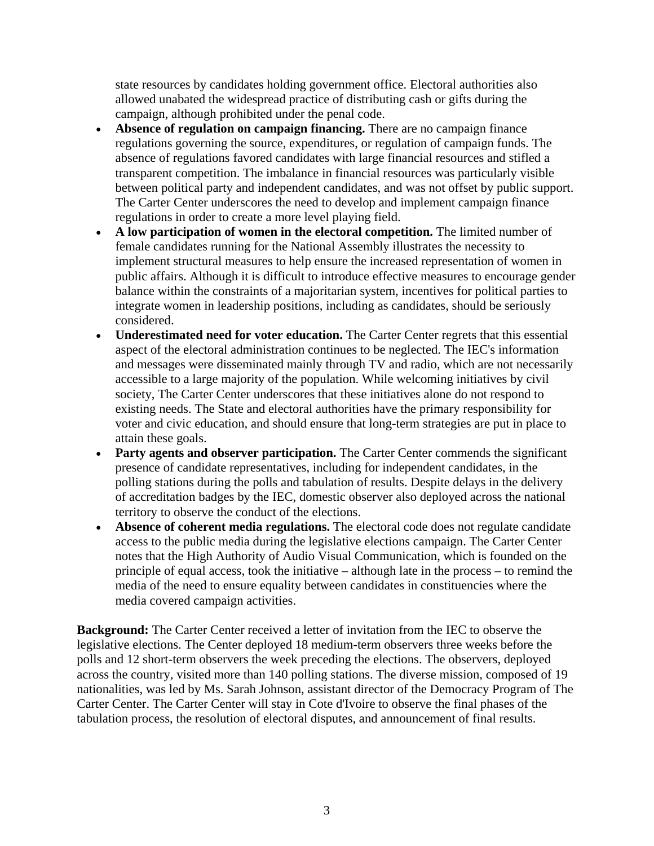state resources by candidates holding government office. Electoral authorities also allowed unabated the widespread practice of distributing cash or gifts during the campaign, although prohibited under the penal code.

- **Absence of regulation on campaign financing.** There are no campaign finance regulations governing the source, expenditures, or regulation of campaign funds. The absence of regulations favored candidates with large financial resources and stifled a transparent competition. The imbalance in financial resources was particularly visible between political party and independent candidates, and was not offset by public support. The Carter Center underscores the need to develop and implement campaign finance regulations in order to create a more level playing field.
- **A low participation of women in the electoral competition.** The limited number of female candidates running for the National Assembly illustrates the necessity to implement structural measures to help ensure the increased representation of women in public affairs. Although it is difficult to introduce effective measures to encourage gender balance within the constraints of a majoritarian system, incentives for political parties to integrate women in leadership positions, including as candidates, should be seriously considered.
- **Underestimated need for voter education.** The Carter Center regrets that this essential aspect of the electoral administration continues to be neglected. The IEC's information and messages were disseminated mainly through TV and radio, which are not necessarily accessible to a large majority of the population. While welcoming initiatives by civil society, The Carter Center underscores that these initiatives alone do not respond to existing needs. The State and electoral authorities have the primary responsibility for voter and civic education, and should ensure that long-term strategies are put in place to attain these goals.
- Party agents and observer participation. The Carter Center commends the significant presence of candidate representatives, including for independent candidates, in the polling stations during the polls and tabulation of results. Despite delays in the delivery of accreditation badges by the IEC, domestic observer also deployed across the national territory to observe the conduct of the elections.
- **Absence of coherent media regulations.** The electoral code does not regulate candidate access to the public media during the legislative elections campaign. The Carter Center notes that the High Authority of Audio Visual Communication, which is founded on the principle of equal access, took the initiative – although late in the process – to remind the media of the need to ensure equality between candidates in constituencies where the media covered campaign activities.

**Background:** The Carter Center received a letter of invitation from the IEC to observe the legislative elections. The Center deployed 18 medium-term observers three weeks before the polls and 12 short-term observers the week preceding the elections. The observers, deployed across the country, visited more than 140 polling stations. The diverse mission, composed of 19 nationalities, was led by Ms. Sarah Johnson, assistant director of the Democracy Program of The Carter Center. The Carter Center will stay in Cote d'Ivoire to observe the final phases of the tabulation process, the resolution of electoral disputes, and announcement of final results.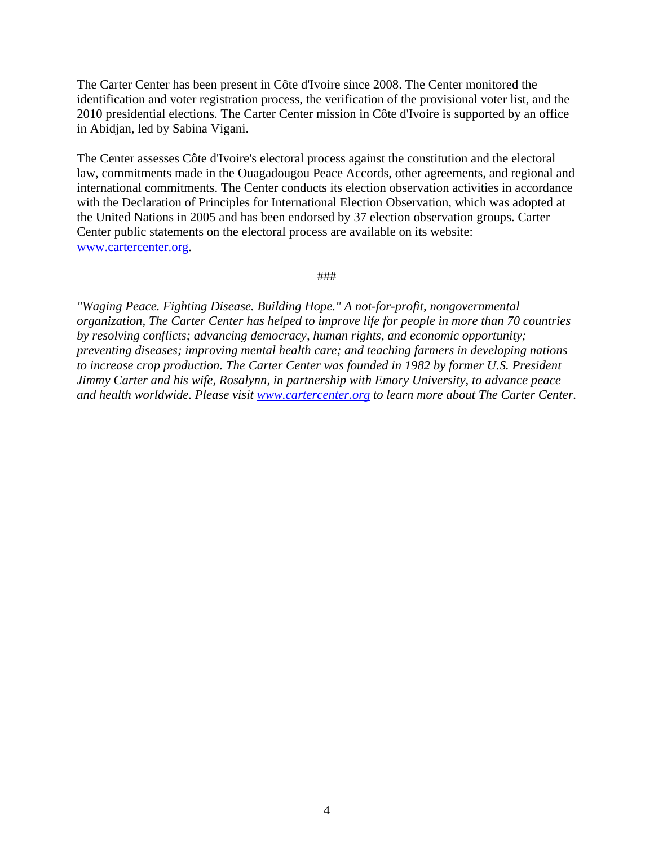The Carter Center has been present in Côte d'Ivoire since 2008. The Center monitored the identification and voter registration process, the verification of the provisional voter list, and the 2010 presidential elections. The Carter Center mission in Côte d'Ivoire is supported by an office in Abidjan, led by Sabina Vigani.

The Center assesses Côte d'Ivoire's electoral process against the constitution and the electoral law, commitments made in the Ouagadougou Peace Accords, other agreements, and regional and international commitments. The Center conducts its election observation activities in accordance with the Declaration of Principles for International Election Observation, which was adopted at the United Nations in 2005 and has been endorsed by 37 election observation groups. Carter Center public statements on the electoral process are available on its website: [www.cartercenter.org.](http://cartercenter.org/)

###

*"Waging Peace. Fighting Disease. Building Hope." A not-for-profit, nongovernmental organization, The Carter Center has helped to improve life for people in more than 70 countries by resolving conflicts; advancing democracy, human rights, and economic opportunity; preventing diseases; improving mental health care; and teaching farmers in developing nations*  to increase crop production. The Carter Center was founded in 1982 by former U.S. President *Jimmy Carter and his wife, Rosalynn, in partnership with Emory University, to advance peace and health worldwide. Please visit [www.cartercenter.org](http://cartercenter.org/) to learn more about The Carter Center.*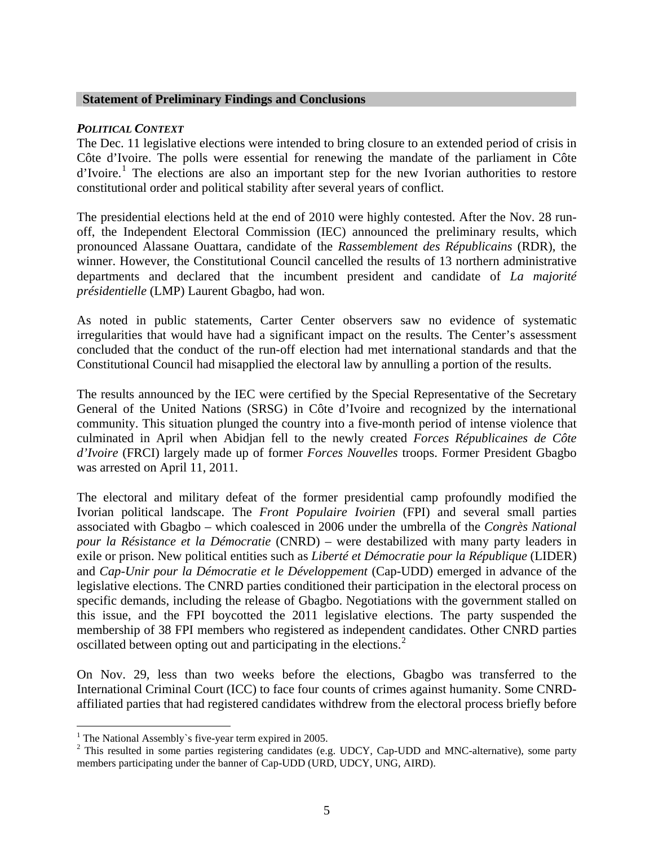### **Statement of Preliminary Findings and Conclusions**

### *POLITICAL CONTEXT*

The Dec. 11 legislative elections were intended to bring closure to an extended period of crisis in Côte d'Ivoire. The polls were essential for renewing the mandate of the parliament in Côte d'Ivoire.<sup>[1](#page-4-0)</sup> The elections are also an important step for the new Ivorian authorities to restore constitutional order and political stability after several years of conflict.

The presidential elections held at the end of 2010 were highly contested. After the Nov. 28 runoff, the Independent Electoral Commission (IEC) announced the preliminary results, which pronounced Alassane Ouattara, candidate of the *Rassemblement des Républicains* (RDR), the winner. However, the Constitutional Council cancelled the results of 13 northern administrative departments and declared that the incumbent president and candidate of *La majorité présidentielle* (LMP) Laurent Gbagbo, had won.

As noted in public statements, Carter Center observers saw no evidence of systematic irregularities that would have had a significant impact on the results. The Center's assessment concluded that the conduct of the run-off election had met international standards and that the Constitutional Council had misapplied the electoral law by annulling a portion of the results.

The results announced by the IEC were certified by the Special Representative of the Secretary General of the United Nations (SRSG) in Côte d'Ivoire and recognized by the international community. This situation plunged the country into a five-month period of intense violence that culminated in April when Abidjan fell to the newly created *Forces Républicaines de Côte d'Ivoire* (FRCI) largely made up of former *Forces Nouvelles* troops. Former President Gbagbo was arrested on April 11, 2011.

The electoral and military defeat of the former presidential camp profoundly modified the Ivorian political landscape. The *Front Populaire Ivoirien* (FPI) and several small parties associated with Gbagbo – which coalesced in 2006 under the umbrella of the *Congrès National pour la Résistance et la Démocratie* (CNRD) – were destabilized with many party leaders in exile or prison. New political entities such as *Liberté et Démocratie pour la République* (LIDER) and *Cap-Unir pour la Démocratie et le Développement* (Cap-UDD) emerged in advance of the legislative elections. The CNRD parties conditioned their participation in the electoral process on specific demands, including the release of Gbagbo. Negotiations with the government stalled on this issue, and the FPI boycotted the 2011 legislative elections. The party suspended the membership of 38 FPI members who registered as independent candidates. Other CNRD parties oscillated between opting out and participating in the elections.<sup>[2](#page-4-1)</sup>

On Nov. 29, less than two weeks before the elections, Gbagbo was transferred to the International Criminal Court (ICC) to face four counts of crimes against humanity. Some CNRDaffiliated parties that had registered candidates withdrew from the electoral process briefly before

<span id="page-4-0"></span><sup>&</sup>lt;sup>1</sup> The National Assembly's five-year term expired in 2005.

<span id="page-4-1"></span> $2$  This resulted in some parties registering candidates (e.g. UDCY, Cap-UDD and MNC-alternative), some party members participating under the banner of Cap-UDD (URD, UDCY, UNG, AIRD).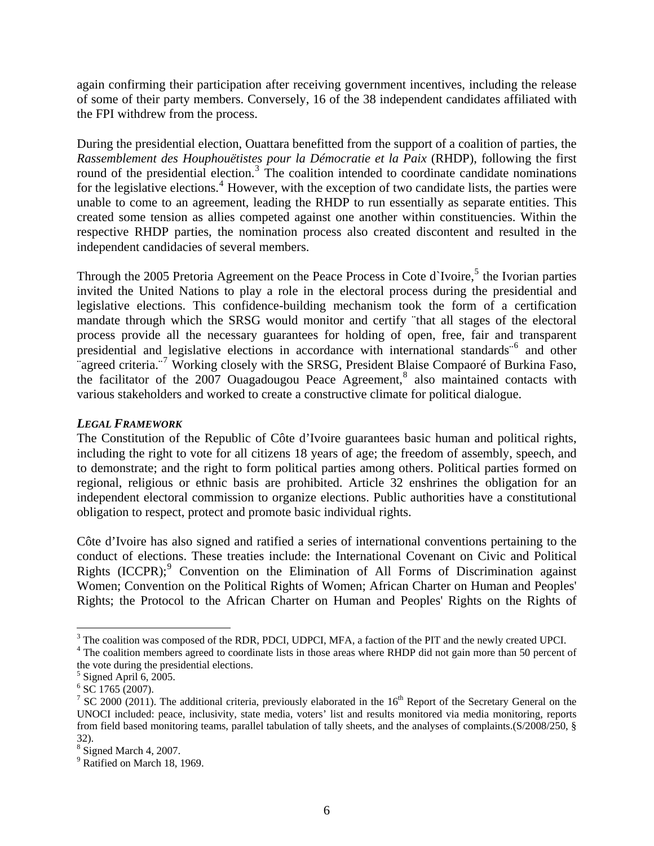again confirming their participation after receiving government incentives, including the release of some of their party members. Conversely, 16 of the 38 independent candidates affiliated with the FPI withdrew from the process.

During the presidential election, Ouattara benefitted from the support of a coalition of parties, the *Rassemblement des Houphouëtistes pour la Démocratie et la Paix* (RHDP), following the first round of the presidential election.<sup>[3](#page-5-0)</sup> The coalition intended to coordinate candidate nominations for the legislative elections.<sup>[4](#page-5-1)</sup> However, with the exception of two candidate lists, the parties were unable to come to an agreement, leading the RHDP to run essentially as separate entities. This created some tension as allies competed against one another within constituencies. Within the respective RHDP parties, the nomination process also created discontent and resulted in the independent candidacies of several members.

Through the 200[5](#page-5-2) Pretoria Agreement on the Peace Process in Cote d'Ivoire,<sup>5</sup> the Ivorian parties invited the United Nations to play a role in the electoral process during the presidential and legislative elections. This confidence-building mechanism took the form of a certification mandate through which the SRSG would monitor and certify ¨that all stages of the electoral process provide all the necessary guarantees for holding of open, free, fair and transparent presidential and legislative elections in accordance with international standards<sup>®</sup> and other agreed criteria.<sup>"[7](#page-5-4)</sup> Working closely with the SRSG, President Blaise Compaoré of Burkina Faso, the facilitator of the  $2007$  Ouagadougou Peace Agreement,<sup>[8](#page-5-5)</sup> also maintained contacts with various stakeholders and worked to create a constructive climate for political dialogue.

## *LEGAL FRAMEWORK*

The Constitution of the Republic of Côte d'Ivoire guarantees basic human and political rights, including the right to vote for all citizens 18 years of age; the freedom of assembly, speech, and to demonstrate; and the right to form political parties among others. Political parties formed on regional, religious or ethnic basis are prohibited. Article 32 enshrines the obligation for an independent electoral commission to organize elections. Public authorities have a constitutional obligation to respect, protect and promote basic individual rights.

Côte d'Ivoire has also signed and ratified a series of international conventions pertaining to the conduct of elections. These treaties include: the International Covenant on Civic and Political Rights (ICCPR);<sup>[9](#page-5-6)</sup> Convention on the Elimination of All Forms of Discrimination against Women; Convention on the Political Rights of Women; African Charter on Human and Peoples' Rights; the Protocol to the African Charter on Human and Peoples' Rights on the Rights of

<span id="page-5-0"></span> $3$  The coalition was composed of the RDR, PDCI, UDPCI, MFA, a faction of the PIT and the newly created UPCI.

<span id="page-5-1"></span><sup>&</sup>lt;sup>4</sup> The coalition members agreed to coordinate lists in those areas where RHDP did not gain more than 50 percent of the vote during the presidential elections.

<span id="page-5-2"></span> $<sup>5</sup>$  Signed April 6, 2005.</sup>

<span id="page-5-3"></span> $6^{\circ}$  SC 1765 (2007).

<span id="page-5-4"></span><sup>&</sup>lt;sup>7</sup> SC 2000 (2011). The additional criteria, previously elaborated in the  $16<sup>th</sup>$  Report of the Secretary General on the UNOCI included: peace, inclusivity, state media, voters' list and results monitored via media monitoring, reports from field based monitoring teams, parallel tabulation of tally sheets, and the analyses of complaints.(S/2008/250, § 32).

<span id="page-5-5"></span> $8$  Signed March 4, 2007.

<span id="page-5-6"></span><sup>&</sup>lt;sup>9</sup> Ratified on March 18, 1969.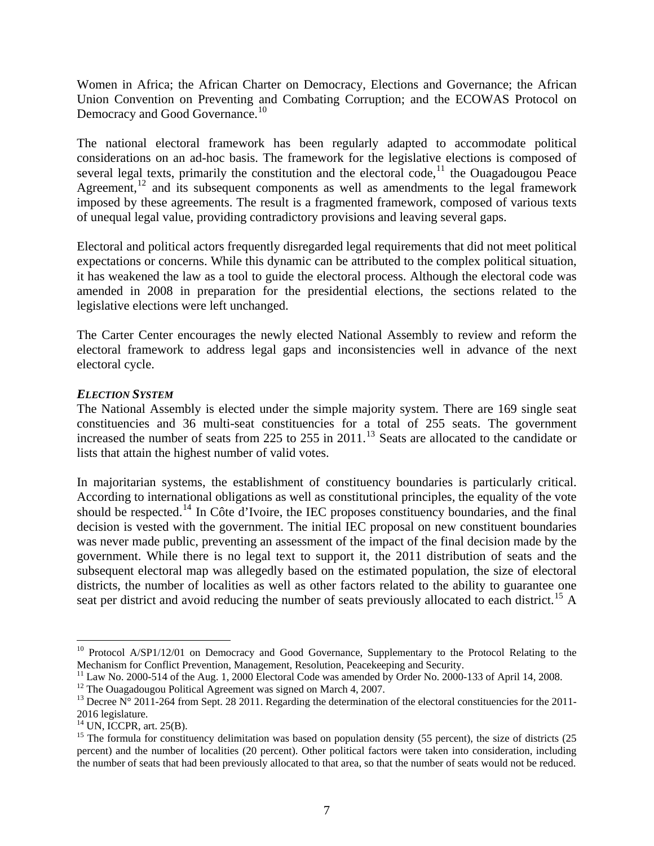Women in Africa; the African Charter on Democracy, Elections and Governance; the African Union Convention on Preventing and Combating Corruption; and the ECOWAS Protocol on Democracy and Good Governance.<sup>[10](#page-6-0)</sup>

The national electoral framework has been regularly adapted to accommodate political considerations on an ad-hoc basis. The framework for the legislative elections is composed of several legal texts, primarily the constitution and the electoral code,<sup>[11](#page-6-1)</sup> the Ouagadougou Peace Agreement,<sup>[12](#page-6-2)</sup> and its subsequent components as well as amendments to the legal framework imposed by these agreements. The result is a fragmented framework, composed of various texts of unequal legal value, providing contradictory provisions and leaving several gaps.

Electoral and political actors frequently disregarded legal requirements that did not meet political expectations or concerns. While this dynamic can be attributed to the complex political situation, it has weakened the law as a tool to guide the electoral process. Although the electoral code was amended in 2008 in preparation for the presidential elections, the sections related to the legislative elections were left unchanged.

The Carter Center encourages the newly elected National Assembly to review and reform the electoral framework to address legal gaps and inconsistencies well in advance of the next electoral cycle.

# *ELECTION SYSTEM*

The National Assembly is elected under the simple majority system. There are 169 single seat constituencies and 36 multi-seat constituencies for a total of 255 seats. The government increased the number of seats from 225 to 255 in  $2011$ .<sup>[13](#page-6-3)</sup> Seats are allocated to the candidate or lists that attain the highest number of valid votes.

In majoritarian systems, the establishment of constituency boundaries is particularly critical. According to international obligations as well as constitutional principles, the equality of the vote should be respected.<sup>[14](#page-6-4)</sup> In Côte d'Ivoire, the IEC proposes constituency boundaries, and the final decision is vested with the government. The initial IEC proposal on new constituent boundaries was never made public, preventing an assessment of the impact of the final decision made by the government. While there is no legal text to support it, the 2011 distribution of seats and the subsequent electoral map was allegedly based on the estimated population, the size of electoral districts, the number of localities as well as other factors related to the ability to guarantee one seat per district and avoid reducing the number of seats previously allocated to each district.<sup>[15](#page-6-5)</sup> A

1

<span id="page-6-0"></span><sup>&</sup>lt;sup>10</sup> Protocol A/SP1/12/01 on Democracy and Good Governance, Supplementary to the Protocol Relating to the Mechanism for Conflict Prevention, Management, Resolution, Peacekeeping and Security.

<span id="page-6-1"></span> $^{11}$  Law No. 2000-514 of the Aug. 1, 2000 Electoral Code was amended by Order No. 2000-133 of April 14, 2008.

<span id="page-6-2"></span><sup>&</sup>lt;sup>12</sup> The Ouagadougou Political Agreement was signed on March 4, 2007.

<span id="page-6-3"></span><sup>&</sup>lt;sup>13</sup> Decree  $\overline{N}^{\circ}$  2011-264 from Sept. 28 2011. Regarding the determination of the electoral constituencies for the 2011-2016 legislature.

 $14$  UN, ICCPR, art. 25(B).

<span id="page-6-5"></span><span id="page-6-4"></span><sup>&</sup>lt;sup>15</sup> The formula for constituency delimitation was based on population density (55 percent), the size of districts (25 percent) and the number of localities (20 percent). Other political factors were taken into consideration, including the number of seats that had been previously allocated to that area, so that the number of seats would not be reduced.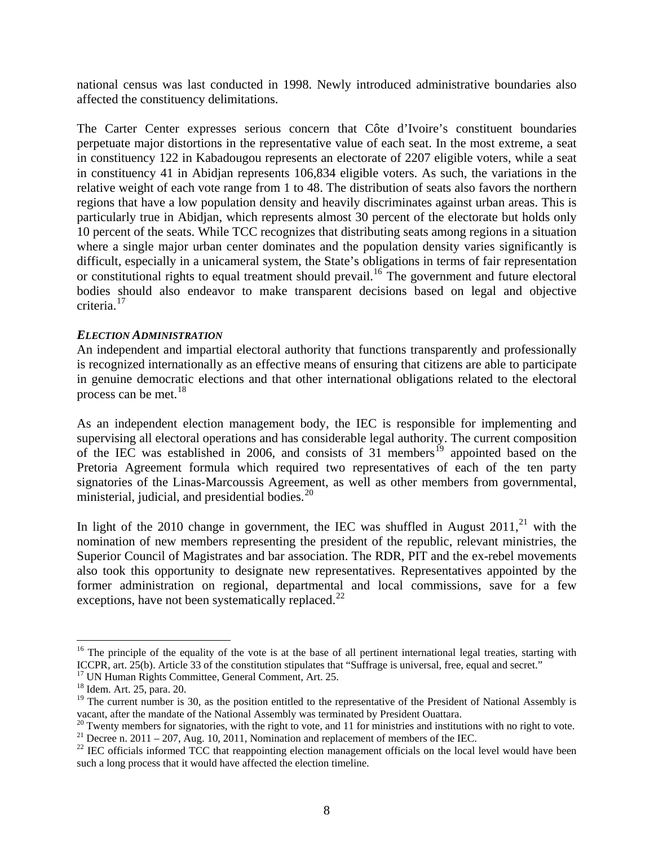national census was last conducted in 1998. Newly introduced administrative boundaries also affected the constituency delimitations.

The Carter Center expresses serious concern that Côte d'Ivoire's constituent boundaries perpetuate major distortions in the representative value of each seat. In the most extreme, a seat in constituency 122 in Kabadougou represents an electorate of 2207 eligible voters, while a seat in constituency 41 in Abidjan represents 106,834 eligible voters. As such, the variations in the relative weight of each vote range from 1 to 48. The distribution of seats also favors the northern regions that have a low population density and heavily discriminates against urban areas. This is particularly true in Abidjan, which represents almost 30 percent of the electorate but holds only 10 percent of the seats. While TCC recognizes that distributing seats among regions in a situation where a single major urban center dominates and the population density varies significantly is difficult, especially in a unicameral system, the State's obligations in terms of fair representation or constitutional rights to equal treatment should prevail.<sup>[16](#page-7-0)</sup> The government and future electoral bodies should also endeavor to make transparent decisions based on legal and objective criteria.<sup>[17](#page-7-1)</sup>

### *ELECTION ADMINISTRATION*

An independent and impartial electoral authority that functions transparently and professionally is recognized internationally as an effective means of ensuring that citizens are able to participate in genuine democratic elections and that other international obligations related to the electoral process can be met. $^{18}$  $^{18}$  $^{18}$ 

As an independent election management body, the IEC is responsible for implementing and supervising all electoral operations and has considerable legal authority. The current composition of the IEC was established in 2006, and consists of  $31$  members<sup>[19](#page-7-3)</sup> appointed based on the Pretoria Agreement formula which required two representatives of each of the ten party signatories of the Linas-Marcoussis Agreement, as well as other members from governmental, ministerial, judicial, and presidential bodies.<sup>[20](#page-7-4)</sup>

In light of the 2010 change in government, the IEC was shuffled in August  $2011<sup>21</sup>$  $2011<sup>21</sup>$  $2011<sup>21</sup>$  with the nomination of new members representing the president of the republic, relevant ministries, the Superior Council of Magistrates and bar association. The RDR, PIT and the ex-rebel movements also took this opportunity to designate new representatives. Representatives appointed by the former administration on regional, departmental and local commissions, save for a few exceptions, have not been systematically replaced.<sup>[22](#page-7-6)</sup>

<span id="page-7-0"></span> $16$  The principle of the equality of the vote is at the base of all pertinent international legal treaties, starting with ICCPR, art. 25(b). Article 33 of the constitution stipulates that "Suffrage is universal, free, equal and secret." <sup>17</sup> UN Human Rights Committee, General Comment, Art. 25.

<span id="page-7-1"></span>

<sup>18</sup> Idem. Art. 25, para. 20.

<span id="page-7-3"></span><span id="page-7-2"></span> $19$  The current number is 30, as the position entitled to the representative of the President of National Assembly is vacant, after the mandate of the National Assembly was terminated by President Ouattara. 20 Twenty members for signatories, with the right to vote, and 11 for ministries and institutions with no right to vote.

<span id="page-7-5"></span><span id="page-7-4"></span><sup>&</sup>lt;sup>21</sup> Decree n. 2011 – 207, Aug. 10, 2011, Nomination and replacement of members of the IEC.

<span id="page-7-6"></span> $22$  IEC officials informed TCC that reappointing election management officials on the local level would have been such a long process that it would have affected the election timeline.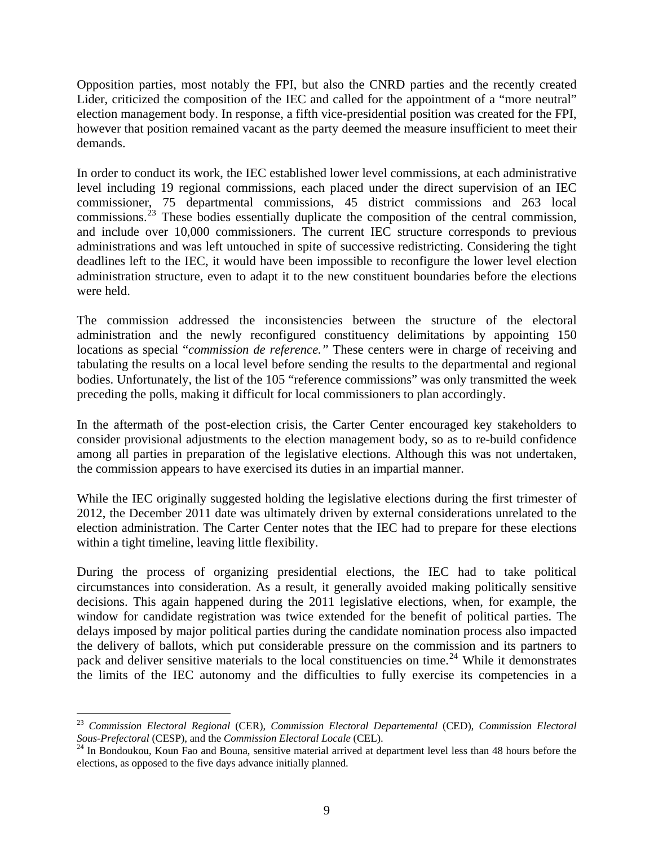Opposition parties, most notably the FPI, but also the CNRD parties and the recently created Lider, criticized the composition of the IEC and called for the appointment of a "more neutral" election management body. In response, a fifth vice-presidential position was created for the FPI, however that position remained vacant as the party deemed the measure insufficient to meet their demands.

In order to conduct its work, the IEC established lower level commissions, at each administrative level including 19 regional commissions, each placed under the direct supervision of an IEC commissioner, 75 departmental commissions, 45 district commissions and 263 local commissions.<sup>[23](#page-8-0)</sup> These bodies essentially duplicate the composition of the central commission, and include over 10,000 commissioners. The current IEC structure corresponds to previous administrations and was left untouched in spite of successive redistricting. Considering the tight deadlines left to the IEC, it would have been impossible to reconfigure the lower level election administration structure, even to adapt it to the new constituent boundaries before the elections were held.

The commission addressed the inconsistencies between the structure of the electoral administration and the newly reconfigured constituency delimitations by appointing 150 locations as special "*commission de reference."* These centers were in charge of receiving and tabulating the results on a local level before sending the results to the departmental and regional bodies. Unfortunately, the list of the 105 "reference commissions" was only transmitted the week preceding the polls, making it difficult for local commissioners to plan accordingly.

In the aftermath of the post-election crisis, the Carter Center encouraged key stakeholders to consider provisional adjustments to the election management body, so as to re-build confidence among all parties in preparation of the legislative elections. Although this was not undertaken, the commission appears to have exercised its duties in an impartial manner.

While the IEC originally suggested holding the legislative elections during the first trimester of 2012, the December 2011 date was ultimately driven by external considerations unrelated to the election administration. The Carter Center notes that the IEC had to prepare for these elections within a tight timeline, leaving little flexibility.

During the process of organizing presidential elections, the IEC had to take political circumstances into consideration. As a result, it generally avoided making politically sensitive decisions. This again happened during the 2011 legislative elections, when, for example, the window for candidate registration was twice extended for the benefit of political parties. The delays imposed by major political parties during the candidate nomination process also impacted the delivery of ballots, which put considerable pressure on the commission and its partners to pack and deliver sensitive materials to the local constituencies on time.<sup>[24](#page-8-1)</sup> While it demonstrates the limits of the IEC autonomy and the difficulties to fully exercise its competencies in a

<span id="page-8-0"></span><sup>23</sup> *Commission Electoral Regional* (CER), *Commission Electoral Departemental* (CED), *Commission Electoral Sous-Prefectoral* (CESP), and the *Commission Electoral Locale* (CEL). 24 In Bondoukou, Koun Fao and Bouna, sensitive material arrived at department level less than 48 hours before the

<span id="page-8-1"></span>elections, as opposed to the five days advance initially planned.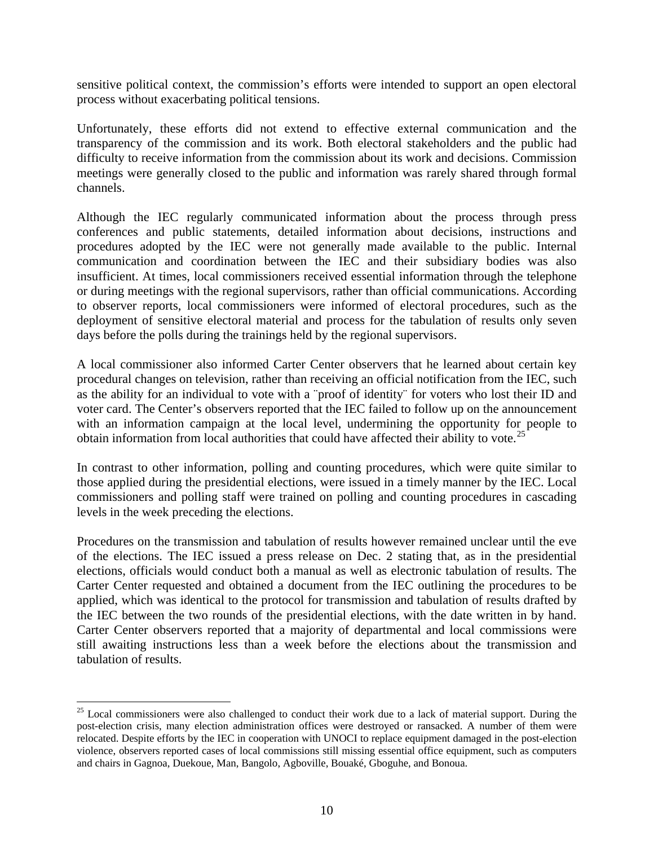sensitive political context, the commission's efforts were intended to support an open electoral process without exacerbating political tensions.

Unfortunately, these efforts did not extend to effective external communication and the transparency of the commission and its work. Both electoral stakeholders and the public had difficulty to receive information from the commission about its work and decisions. Commission meetings were generally closed to the public and information was rarely shared through formal channels.

Although the IEC regularly communicated information about the process through press conferences and public statements, detailed information about decisions, instructions and procedures adopted by the IEC were not generally made available to the public. Internal communication and coordination between the IEC and their subsidiary bodies was also insufficient. At times, local commissioners received essential information through the telephone or during meetings with the regional supervisors, rather than official communications. According to observer reports, local commissioners were informed of electoral procedures, such as the deployment of sensitive electoral material and process for the tabulation of results only seven days before the polls during the trainings held by the regional supervisors.

A local commissioner also informed Carter Center observers that he learned about certain key procedural changes on television, rather than receiving an official notification from the IEC, such as the ability for an individual to vote with a ¨proof of identity¨ for voters who lost their ID and voter card. The Center's observers reported that the IEC failed to follow up on the announcement with an information campaign at the local level, undermining the opportunity for people to obtain information from local authorities that could have affected their ability to vote.<sup>[25](#page-9-0)</sup>

In contrast to other information, polling and counting procedures, which were quite similar to those applied during the presidential elections, were issued in a timely manner by the IEC. Local commissioners and polling staff were trained on polling and counting procedures in cascading levels in the week preceding the elections.

Procedures on the transmission and tabulation of results however remained unclear until the eve of the elections. The IEC issued a press release on Dec. 2 stating that, as in the presidential elections, officials would conduct both a manual as well as electronic tabulation of results. The Carter Center requested and obtained a document from the IEC outlining the procedures to be applied, which was identical to the protocol for transmission and tabulation of results drafted by the IEC between the two rounds of the presidential elections, with the date written in by hand. Carter Center observers reported that a majority of departmental and local commissions were still awaiting instructions less than a week before the elections about the transmission and tabulation of results.

1

<span id="page-9-0"></span><sup>&</sup>lt;sup>25</sup> Local commissioners were also challenged to conduct their work due to a lack of material support. During the post-election crisis, many election administration offices were destroyed or ransacked. A number of them were relocated. Despite efforts by the IEC in cooperation with UNOCI to replace equipment damaged in the post-election violence, observers reported cases of local commissions still missing essential office equipment, such as computers and chairs in Gagnoa, Duekoue, Man, Bangolo, Agboville, Bouaké, Gboguhe, and Bonoua.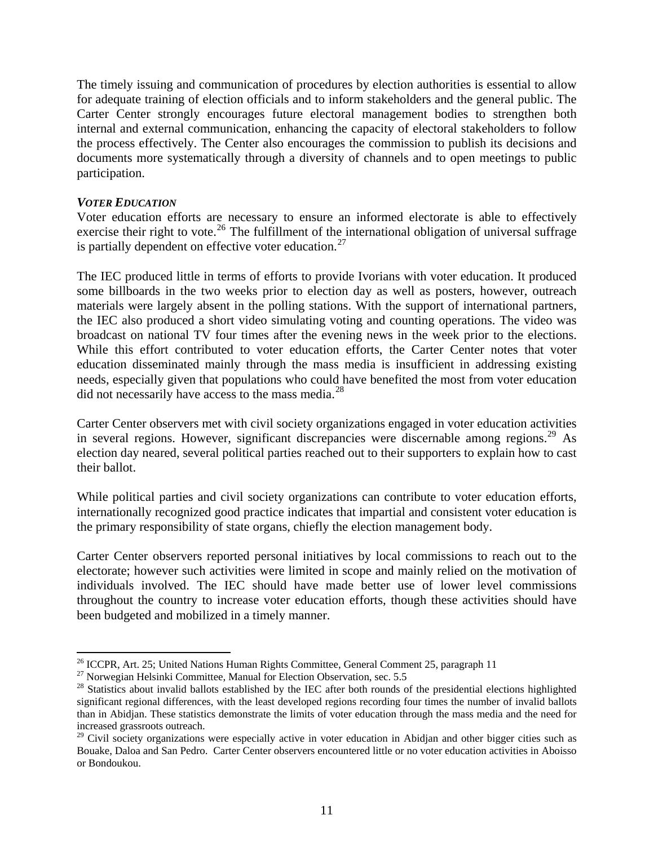The timely issuing and communication of procedures by election authorities is essential to allow for adequate training of election officials and to inform stakeholders and the general public. The Carter Center strongly encourages future electoral management bodies to strengthen both internal and external communication, enhancing the capacity of electoral stakeholders to follow the process effectively. The Center also encourages the commission to publish its decisions and documents more systematically through a diversity of channels and to open meetings to public participation.

### *VOTER EDUCATION*

 $\overline{a}$ 

Voter education efforts are necessary to ensure an informed electorate is able to effectively exercise their right to vote.<sup>[26](#page-10-0)</sup> The fulfillment of the international obligation of universal suffrage is partially dependent on effective voter education.<sup>[27](#page-10-1)</sup>

The IEC produced little in terms of efforts to provide Ivorians with voter education. It produced some billboards in the two weeks prior to election day as well as posters, however, outreach materials were largely absent in the polling stations. With the support of international partners, the IEC also produced a short video simulating voting and counting operations. The video was broadcast on national TV four times after the evening news in the week prior to the elections. While this effort contributed to voter education efforts, the Carter Center notes that voter education disseminated mainly through the mass media is insufficient in addressing existing needs, especially given that populations who could have benefited the most from voter education did not necessarily have access to the mass media. $^{28}$  $^{28}$  $^{28}$ 

Carter Center observers met with civil society organizations engaged in voter education activities in several regions. However, significant discrepancies were discernable among regions.<sup>[29](#page-10-3)</sup> As election day neared, several political parties reached out to their supporters to explain how to cast their ballot.

While political parties and civil society organizations can contribute to voter education efforts, internationally recognized good practice indicates that impartial and consistent voter education is the primary responsibility of state organs, chiefly the election management body.

Carter Center observers reported personal initiatives by local commissions to reach out to the electorate; however such activities were limited in scope and mainly relied on the motivation of individuals involved. The IEC should have made better use of lower level commissions throughout the country to increase voter education efforts, though these activities should have been budgeted and mobilized in a timely manner.

<span id="page-10-0"></span><sup>&</sup>lt;sup>26</sup> ICCPR, Art. 25; United Nations Human Rights Committee, General Comment 25, paragraph 11<sup>27</sup> Norwegian Helsinki Committee, Manual for Election Observation, sec. 5.5

<span id="page-10-2"></span><span id="page-10-1"></span> $28$  Statistics about invalid ballots established by the IEC after both rounds of the presidential elections highlighted significant regional differences, with the least developed regions recording four times the number of invalid ballots than in Abidjan. These statistics demonstrate the limits of voter education through the mass media and the need for increased grassroots outreach.

<span id="page-10-3"></span><sup>&</sup>lt;sup>29</sup> Civil society organizations were especially active in voter education in Abidjan and other bigger cities such as Bouake, Daloa and San Pedro. Carter Center observers encountered little or no voter education activities in Aboisso or Bondoukou.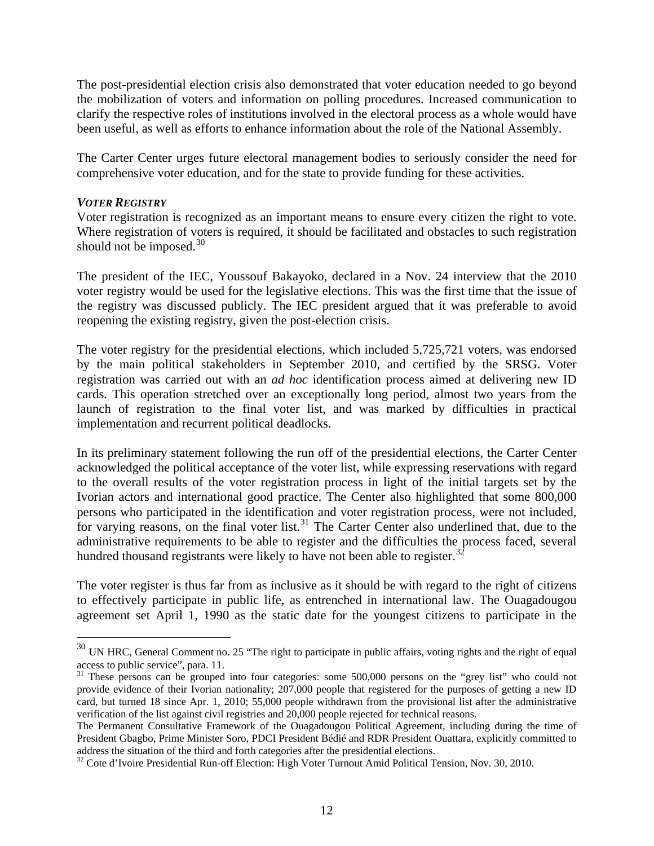The post-presidential election crisis also demonstrated that voter education needed to go beyond the mobilization of voters and information on polling procedures. Increased communication to clarify the respective roles of institutions involved in the electoral process as a whole would have been useful, as well as efforts to enhance information about the role of the National Assembly.

The Carter Center urges future electoral management bodies to seriously consider the need for comprehensive voter education, and for the state to provide funding for these activities.

#### *VOTER REGISTRY*

 $\overline{a}$ 

Voter registration is recognized as an important means to ensure every citizen the right to vote. Where registration of voters is required, it should be facilitated and obstacles to such registration should not be imposed. $30$ 

The president of the IEC, Youssouf Bakayoko, declared in a Nov. 24 interview that the 2010 voter registry would be used for the legislative elections. This was the first time that the issue of the registry was discussed publicly. The IEC president argued that it was preferable to avoid reopening the existing registry, given the post-election crisis.

The voter registry for the presidential elections, which included 5,725,721 voters, was endorsed by the main political stakeholders in September 2010, and certified by the SRSG. Voter registration was carried out with an *ad hoc* identification process aimed at delivering new ID cards. This operation stretched over an exceptionally long period, almost two years from the launch of registration to the final voter list, and was marked by difficulties in practical implementation and recurrent political deadlocks.

In its preliminary statement following the run off of the presidential elections, the Carter Center acknowledged the political acceptance of the voter list, while expressing reservations with regard to the overall results of the voter registration process in light of the initial targets set by the Ivorian actors and international good practice. The Center also highlighted that some 800,000 persons who participated in the identification and voter registration process, were not included, for varying reasons, on the final voter list.<sup>[31](#page-11-1)</sup> The Carter Center also underlined that, due to the administrative requirements to be able to register and the difficulties the process faced, several hundred thousand registrants were likely to have not been able to register.<sup>[32](#page-11-2)</sup>

The voter register is thus far from as inclusive as it should be with regard to the right of citizens to effectively participate in public life, as entrenched in international law. The Ouagadougou agreement set April 1, 1990 as the static date for the youngest citizens to participate in the

<span id="page-11-0"></span> $30$  UN HRC, General Comment no. 25 "The right to participate in public affairs, voting rights and the right of equal access to public service", para. 11.

<span id="page-11-1"></span><sup>&</sup>lt;sup>31</sup> These persons can be grouped into four categories: some 500,000 persons on the "grey list" who could not provide evidence of their Ivorian nationality; 207,000 people that registered for the purposes of getting a new ID card, but turned 18 since Apr. 1, 2010; 55,000 people withdrawn from the provisional list after the administrative verification of the list against civil registries and 20,000 people rejected for technical reasons.

The Permanent Consultative Framework of the Ouagadougou Political Agreement, including during the time of President Gbagbo, Prime Minister Soro, PDCI President Bédié and RDR President Ouattara, explicitly committed to address the situation of the third and forth categories after the presidential elections.<br><sup>32</sup> Cote d'Ivoire Presidential Run-off Election: High Voter Turnout Amid Political Tension, Nov. 30, 2010.

<span id="page-11-2"></span>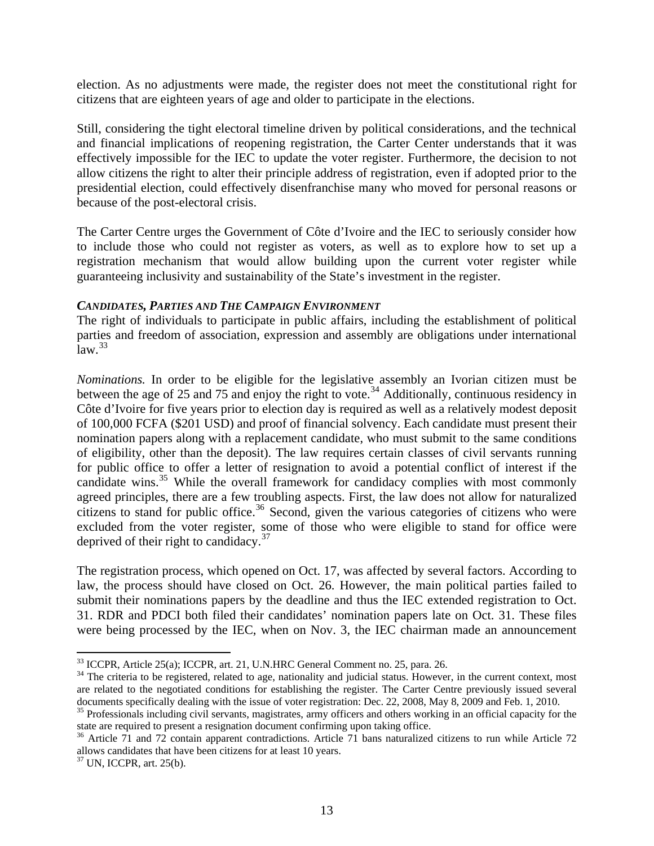election. As no adjustments were made, the register does not meet the constitutional right for citizens that are eighteen years of age and older to participate in the elections.

Still, considering the tight electoral timeline driven by political considerations, and the technical and financial implications of reopening registration, the Carter Center understands that it was effectively impossible for the IEC to update the voter register. Furthermore, the decision to not allow citizens the right to alter their principle address of registration, even if adopted prior to the presidential election, could effectively disenfranchise many who moved for personal reasons or because of the post-electoral crisis.

The Carter Centre urges the Government of Côte d'Ivoire and the IEC to seriously consider how to include those who could not register as voters, as well as to explore how to set up a registration mechanism that would allow building upon the current voter register while guaranteeing inclusivity and sustainability of the State's investment in the register.

## *CANDIDATES, PARTIES AND THE CAMPAIGN ENVIRONMENT*

The right of individuals to participate in public affairs, including the establishment of political parties and freedom of association, expression and assembly are obligations under international  $law.<sup>33</sup>$  $law.<sup>33</sup>$  $law.<sup>33</sup>$ 

*Nominations.* In order to be eligible for the legislative assembly an Ivorian citizen must be between the age of 25 and 75 and enjoy the right to vote.<sup>[34](#page-12-1)</sup> Additionally, continuous residency in Côte d'Ivoire for five years prior to election day is required as well as a relatively modest deposit of 100,000 FCFA (\$201 USD) and proof of financial solvency. Each candidate must present their nomination papers along with a replacement candidate, who must submit to the same conditions of eligibility, other than the deposit). The law requires certain classes of civil servants running for public office to offer a letter of resignation to avoid a potential conflict of interest if the candidate wins.<sup>[35](#page-12-2)</sup> While the overall framework for candidacy complies with most commonly agreed principles, there are a few troubling aspects. First, the law does not allow for naturalized citizens to stand for public office.<sup>[36](#page-12-3)</sup> Second, given the various categories of citizens who were excluded from the voter register, some of those who were eligible to stand for office were deprived of their right to candidacy.<sup>[37](#page-12-4)</sup>

The registration process, which opened on Oct. 17, was affected by several factors. According to law, the process should have closed on Oct. 26. However, the main political parties failed to submit their nominations papers by the deadline and thus the IEC extended registration to Oct. 31. RDR and PDCI both filed their candidates' nomination papers late on Oct. 31. These files were being processed by the IEC, when on Nov. 3, the IEC chairman made an announcement

<span id="page-12-1"></span><span id="page-12-0"></span> $33$  ICCPR, Article 25(a); ICCPR, art. 21, U.N.HRC General Comment no. 25, para. 26.<br><sup>34</sup> The criteria to be registered, related to age, nationality and judicial status. However, in the current context, most are related to the negotiated conditions for establishing the register. The Carter Centre previously issued several

<span id="page-12-2"></span>documents specifically dealing with the issue of voter registration: Dec. 22, 2008, May 8, 2009 and Feb. 1, 2010.<br><sup>35</sup> Professionals including civil servants, magistrates, army officers and others working in an official ca state are required to present a resignation document confirming upon taking office.<br><sup>36</sup> Article 71 and 72 contain apparent contradictions. Article 71 bans naturalized citizens to run while Article 72

<span id="page-12-3"></span>allows candidates that have been citizens for at least 10 years.  $37$  UN, ICCPR, art. 25(b).

<span id="page-12-4"></span>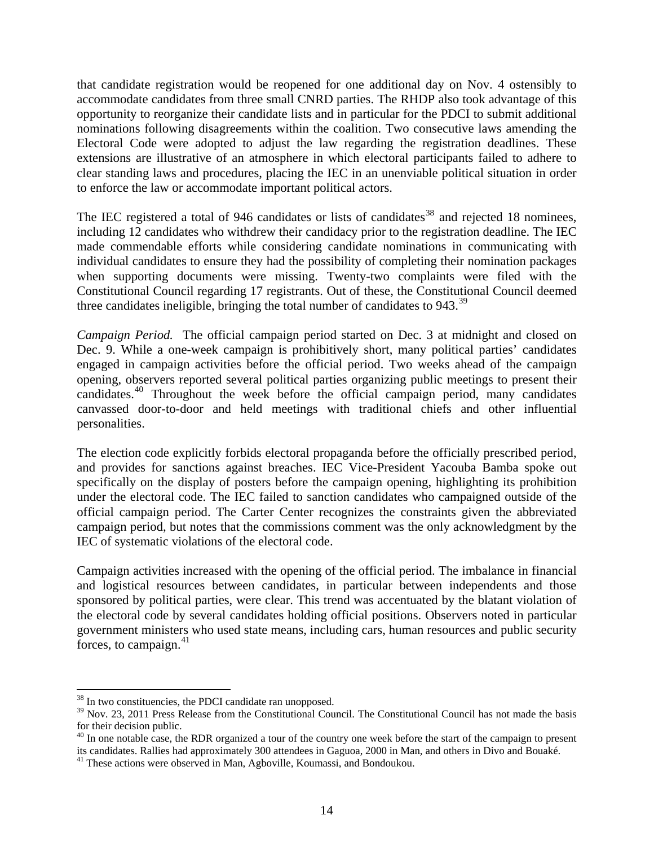that candidate registration would be reopened for one additional day on Nov. 4 ostensibly to accommodate candidates from three small CNRD parties. The RHDP also took advantage of this opportunity to reorganize their candidate lists and in particular for the PDCI to submit additional nominations following disagreements within the coalition. Two consecutive laws amending the Electoral Code were adopted to adjust the law regarding the registration deadlines. These extensions are illustrative of an atmosphere in which electoral participants failed to adhere to clear standing laws and procedures, placing the IEC in an unenviable political situation in order to enforce the law or accommodate important political actors.

The IEC registered a total of 946 candidates or lists of candidates<sup>[38](#page-13-0)</sup> and rejected 18 nominees. including 12 candidates who withdrew their candidacy prior to the registration deadline. The IEC made commendable efforts while considering candidate nominations in communicating with individual candidates to ensure they had the possibility of completing their nomination packages when supporting documents were missing. Twenty-two complaints were filed with the Constitutional Council regarding 17 registrants. Out of these, the Constitutional Council deemed three candidates ineligible, bringing the total number of candidates to 943.<sup>[39](#page-13-1)</sup>

*Campaign Period.* The official campaign period started on Dec. 3 at midnight and closed on Dec. 9. While a one-week campaign is prohibitively short, many political parties' candidates engaged in campaign activities before the official period. Two weeks ahead of the campaign opening, observers reported several political parties organizing public meetings to present their candidates.<sup>[40](#page-13-2)</sup> Throughout the week before the official campaign period, many candidates canvassed door-to-door and held meetings with traditional chiefs and other influential personalities.

The election code explicitly forbids electoral propaganda before the officially prescribed period, and provides for sanctions against breaches. IEC Vice-President Yacouba Bamba spoke out specifically on the display of posters before the campaign opening, highlighting its prohibition under the electoral code. The IEC failed to sanction candidates who campaigned outside of the official campaign period. The Carter Center recognizes the constraints given the abbreviated campaign period, but notes that the commissions comment was the only acknowledgment by the IEC of systematic violations of the electoral code.

Campaign activities increased with the opening of the official period. The imbalance in financial and logistical resources between candidates, in particular between independents and those sponsored by political parties, were clear. This trend was accentuated by the blatant violation of the electoral code by several candidates holding official positions. Observers noted in particular government ministers who used state means, including cars, human resources and public security forces, to campaign. $41$ 

 $\overline{a}$  $38$  In two constituencies, the PDCI candidate ran unopposed.

<span id="page-13-1"></span><span id="page-13-0"></span><sup>&</sup>lt;sup>39</sup> Nov. 23, 2011 Press Release from the Constitutional Council. The Constitutional Council has not made the basis for their decision public.

<span id="page-13-2"></span> $^{40}$  In one notable case, the RDR organized a tour of the country one week before the start of the campaign to present its candidates. Rallies had approximately 300 attendees in Gaguoa, 2000 in Man, and others in Divo and Bouaké. 41 These actions were observed in Man, Agboville, Koumassi, and Bondoukou.

<span id="page-13-3"></span>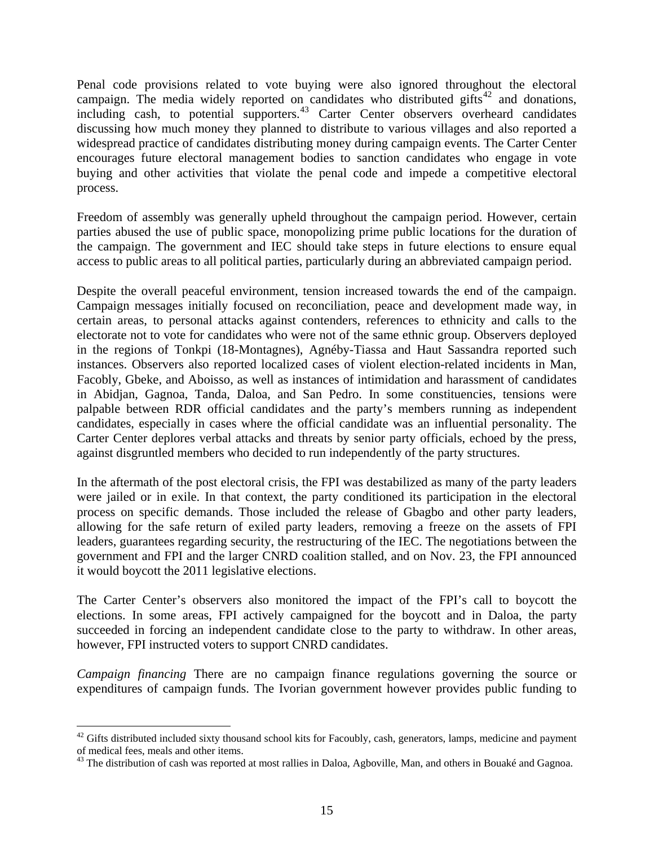Penal code provisions related to vote buying were also ignored throughout the electoral campaign. The media widely reported on candidates who distributed gifts<sup>[42](#page-14-0)</sup> and donations, including cash, to potential supporters.<sup>[43](#page-14-1)</sup> Carter Center observers overheard candidates discussing how much money they planned to distribute to various villages and also reported a widespread practice of candidates distributing money during campaign events. The Carter Center encourages future electoral management bodies to sanction candidates who engage in vote buying and other activities that violate the penal code and impede a competitive electoral process.

Freedom of assembly was generally upheld throughout the campaign period. However, certain parties abused the use of public space, monopolizing prime public locations for the duration of the campaign. The government and IEC should take steps in future elections to ensure equal access to public areas to all political parties, particularly during an abbreviated campaign period.

Despite the overall peaceful environment, tension increased towards the end of the campaign. Campaign messages initially focused on reconciliation, peace and development made way, in certain areas, to personal attacks against contenders, references to ethnicity and calls to the electorate not to vote for candidates who were not of the same ethnic group. Observers deployed in the regions of Tonkpi (18-Montagnes), Agnéby-Tiassa and Haut Sassandra reported such instances. Observers also reported localized cases of violent election-related incidents in Man, Facobly, Gbeke, and Aboisso, as well as instances of intimidation and harassment of candidates in Abidjan, Gagnoa, Tanda, Daloa, and San Pedro. In some constituencies, tensions were palpable between RDR official candidates and the party's members running as independent candidates, especially in cases where the official candidate was an influential personality. The Carter Center deplores verbal attacks and threats by senior party officials, echoed by the press, against disgruntled members who decided to run independently of the party structures.

In the aftermath of the post electoral crisis, the FPI was destabilized as many of the party leaders were jailed or in exile. In that context, the party conditioned its participation in the electoral process on specific demands. Those included the release of Gbagbo and other party leaders, allowing for the safe return of exiled party leaders, removing a freeze on the assets of FPI leaders, guarantees regarding security, the restructuring of the IEC. The negotiations between the government and FPI and the larger CNRD coalition stalled, and on Nov. 23, the FPI announced it would boycott the 2011 legislative elections.

The Carter Center's observers also monitored the impact of the FPI's call to boycott the elections. In some areas, FPI actively campaigned for the boycott and in Daloa, the party succeeded in forcing an independent candidate close to the party to withdraw. In other areas, however, FPI instructed voters to support CNRD candidates.

*Campaign financing* There are no campaign finance regulations governing the source or expenditures of campaign funds. The Ivorian government however provides public funding to

1

<span id="page-14-0"></span><sup>&</sup>lt;sup>42</sup> Gifts distributed included sixty thousand school kits for Facoubly, cash, generators, lamps, medicine and payment of medical fees, meals and other items.

<span id="page-14-1"></span> $43$  The distribution of cash was reported at most rallies in Daloa, Agboville, Man, and others in Bouaké and Gagnoa.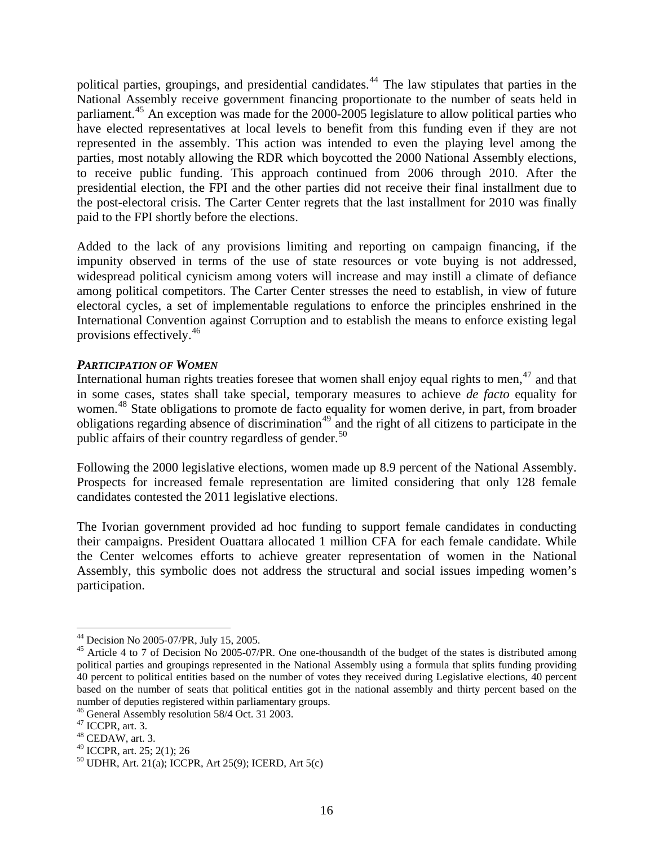political parties, groupings, and presidential candidates.<sup>[44](#page-15-0)</sup> The law stipulates that parties in the National Assembly receive government financing proportionate to the number of seats held in parliament.<sup>[45](#page-15-1)</sup> An exception was made for the 2000-2005 legislature to allow political parties who have elected representatives at local levels to benefit from this funding even if they are not represented in the assembly. This action was intended to even the playing level among the parties, most notably allowing the RDR which boycotted the 2000 National Assembly elections, to receive public funding. This approach continued from 2006 through 2010. After the presidential election, the FPI and the other parties did not receive their final installment due to the post-electoral crisis. The Carter Center regrets that the last installment for 2010 was finally paid to the FPI shortly before the elections.

Added to the lack of any provisions limiting and reporting on campaign financing, if the impunity observed in terms of the use of state resources or vote buying is not addressed, widespread political cynicism among voters will increase and may instill a climate of defiance among political competitors. The Carter Center stresses the need to establish, in view of future electoral cycles, a set of implementable regulations to enforce the principles enshrined in the International Convention against Corruption and to establish the means to enforce existing legal provisions effectively.[46](#page-15-2)

## *PARTICIPATION OF WOMEN*

International human rights treaties foresee that women shall enjoy equal rights to men, $47$  and that in some cases, states shall take special, temporary measures to achieve *de facto* equality for women.<sup>[48](#page-15-4)</sup> State obligations to promote de facto equality for women derive, in part, from broader obligations regarding absence of discrimination<sup>[49](#page-15-5)</sup> and the right of all citizens to participate in the public affairs of their country regardless of gender.<sup>[50](#page-15-6)</sup>

Following the 2000 legislative elections, women made up 8.9 percent of the National Assembly. Prospects for increased female representation are limited considering that only 128 female candidates contested the 2011 legislative elections.

The Ivorian government provided ad hoc funding to support female candidates in conducting their campaigns. President Ouattara allocated 1 million CFA for each female candidate. While the Center welcomes efforts to achieve greater representation of women in the National Assembly, this symbolic does not address the structural and social issues impeding women's participation.

<span id="page-15-0"></span><sup>44</sup> Decision No 2005-07/PR, July 15, 2005.

<span id="page-15-1"></span><sup>&</sup>lt;sup>45</sup> Article 4 to 7 of Decision No 2005-07/PR. One one-thousandth of the budget of the states is distributed among political parties and groupings represented in the National Assembly using a formula that splits funding providing 40 percent to political entities based on the number of votes they received during Legislative elections, 40 percent based on the number of seats that political entities got in the national assembly and thirty percent based on the number of deputies registered within parliamentary groups.

<span id="page-15-2"></span><sup>46</sup> General Assembly resolution 58/4 Oct. 31 2003.

<span id="page-15-3"></span><sup>47</sup> ICCPR, art. 3.

<span id="page-15-4"></span> $48$  CEDAW, art. 3.

<span id="page-15-5"></span><sup>49</sup> ICCPR, art. 25; 2(1); 26

<span id="page-15-6"></span><sup>50</sup> UDHR, Art. 21(a); ICCPR, Art 25(9); ICERD, Art 5(c)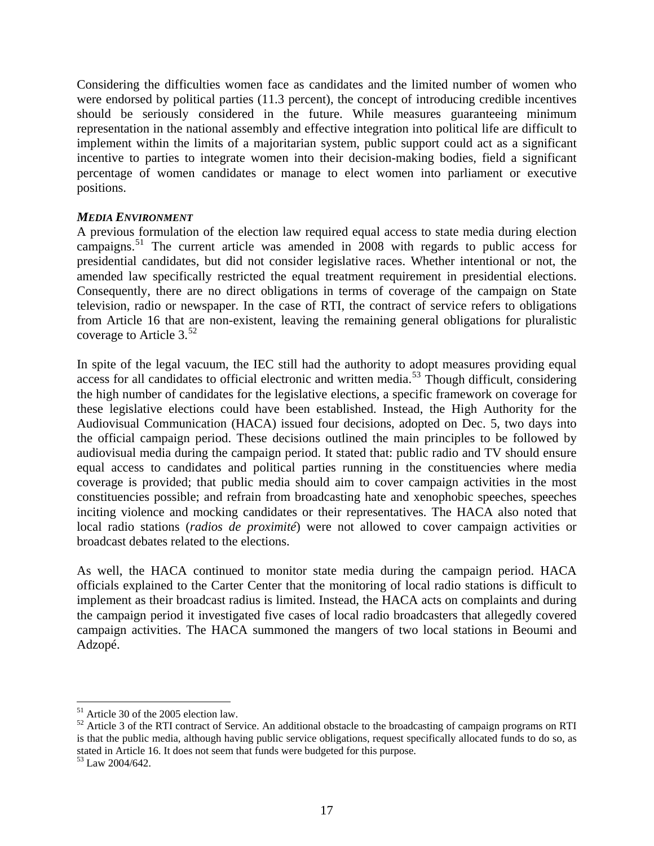Considering the difficulties women face as candidates and the limited number of women who were endorsed by political parties (11.3 percent), the concept of introducing credible incentives should be seriously considered in the future. While measures guaranteeing minimum representation in the national assembly and effective integration into political life are difficult to implement within the limits of a majoritarian system, public support could act as a significant incentive to parties to integrate women into their decision-making bodies, field a significant percentage of women candidates or manage to elect women into parliament or executive positions.

### *MEDIA ENVIRONMENT*

A previous formulation of the election law required equal access to state media during election campaigns.[51](#page-16-0) The current article was amended in 2008 with regards to public access for presidential candidates, but did not consider legislative races. Whether intentional or not, the amended law specifically restricted the equal treatment requirement in presidential elections. Consequently, there are no direct obligations in terms of coverage of the campaign on State television, radio or newspaper. In the case of RTI, the contract of service refers to obligations from Article 16 that are non-existent, leaving the remaining general obligations for pluralistic coverage to Article 3.<sup>[52](#page-16-1)</sup>

In spite of the legal vacuum, the IEC still had the authority to adopt measures providing equal access for all candidates to official electronic and written media.<sup>[53](#page-16-2)</sup> Though difficult, considering the high number of candidates for the legislative elections, a specific framework on coverage for these legislative elections could have been established. Instead, the High Authority for the Audiovisual Communication (HACA) issued four decisions, adopted on Dec. 5, two days into the official campaign period. These decisions outlined the main principles to be followed by audiovisual media during the campaign period. It stated that: public radio and TV should ensure equal access to candidates and political parties running in the constituencies where media coverage is provided; that public media should aim to cover campaign activities in the most constituencies possible; and refrain from broadcasting hate and xenophobic speeches, speeches inciting violence and mocking candidates or their representatives. The HACA also noted that local radio stations (*radios de proximité*) were not allowed to cover campaign activities or broadcast debates related to the elections.

As well, the HACA continued to monitor state media during the campaign period. HACA officials explained to the Carter Center that the monitoring of local radio stations is difficult to implement as their broadcast radius is limited. Instead, the HACA acts on complaints and during the campaign period it investigated five cases of local radio broadcasters that allegedly covered campaign activities. The HACA summoned the mangers of two local stations in Beoumi and Adzopé.

<sup>51</sup> Article 30 of the 2005 election law.

<span id="page-16-1"></span><span id="page-16-0"></span> $52$  Article 3 of the RTI contract of Service. An additional obstacle to the broadcasting of campaign programs on RTI is that the public media, although having public service obligations, request specifically allocated funds to do so, as stated in Article 16. It does not seem that funds were budgeted for this purpose. 53 Law 2004/642.

<span id="page-16-2"></span>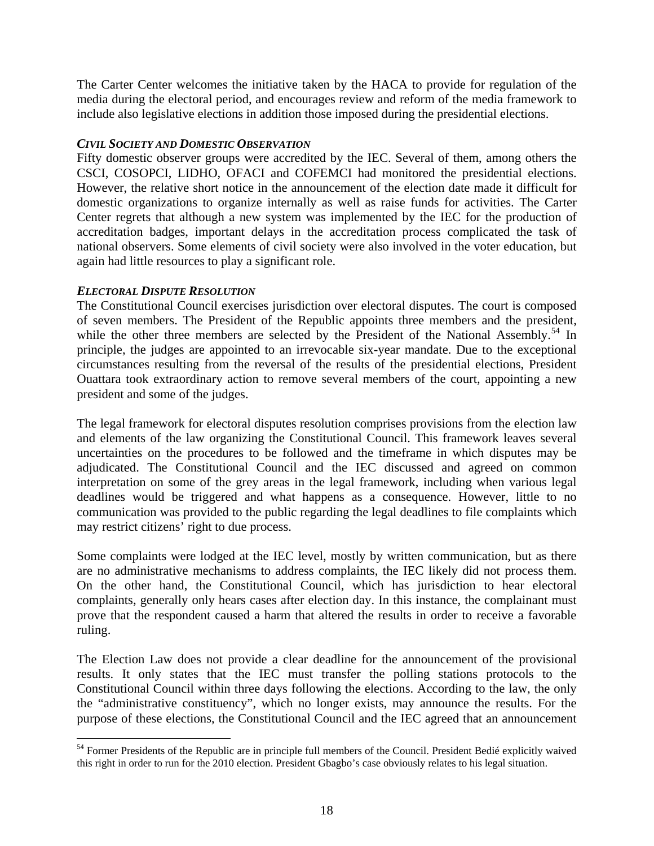The Carter Center welcomes the initiative taken by the HACA to provide for regulation of the media during the electoral period, and encourages review and reform of the media framework to include also legislative elections in addition those imposed during the presidential elections.

## *CIVIL SOCIETY AND DOMESTIC OBSERVATION*

Fifty domestic observer groups were accredited by the IEC. Several of them, among others the CSCI, COSOPCI, LIDHO, OFACI and COFEMCI had monitored the presidential elections. However, the relative short notice in the announcement of the election date made it difficult for domestic organizations to organize internally as well as raise funds for activities. The Carter Center regrets that although a new system was implemented by the IEC for the production of accreditation badges, important delays in the accreditation process complicated the task of national observers. Some elements of civil society were also involved in the voter education, but again had little resources to play a significant role.

# *ELECTORAL DISPUTE RESOLUTION*

1

The Constitutional Council exercises jurisdiction over electoral disputes. The court is composed of seven members. The President of the Republic appoints three members and the president, while the other three members are selected by the President of the National Assembly.<sup>[54](#page-17-0)</sup> In principle, the judges are appointed to an irrevocable six-year mandate. Due to the exceptional circumstances resulting from the reversal of the results of the presidential elections, President Ouattara took extraordinary action to remove several members of the court, appointing a new president and some of the judges.

The legal framework for electoral disputes resolution comprises provisions from the election law and elements of the law organizing the Constitutional Council. This framework leaves several uncertainties on the procedures to be followed and the timeframe in which disputes may be adjudicated. The Constitutional Council and the IEC discussed and agreed on common interpretation on some of the grey areas in the legal framework, including when various legal deadlines would be triggered and what happens as a consequence. However, little to no communication was provided to the public regarding the legal deadlines to file complaints which may restrict citizens' right to due process.

Some complaints were lodged at the IEC level, mostly by written communication, but as there are no administrative mechanisms to address complaints, the IEC likely did not process them. On the other hand, the Constitutional Council, which has jurisdiction to hear electoral complaints, generally only hears cases after election day. In this instance, the complainant must prove that the respondent caused a harm that altered the results in order to receive a favorable ruling.

The Election Law does not provide a clear deadline for the announcement of the provisional results. It only states that the IEC must transfer the polling stations protocols to the Constitutional Council within three days following the elections. According to the law, the only the "administrative constituency", which no longer exists, may announce the results. For the purpose of these elections, the Constitutional Council and the IEC agreed that an announcement

<span id="page-17-0"></span><sup>&</sup>lt;sup>54</sup> Former Presidents of the Republic are in principle full members of the Council. President Bedié explicitly waived this right in order to run for the 2010 election. President Gbagbo's case obviously relates to his legal situation.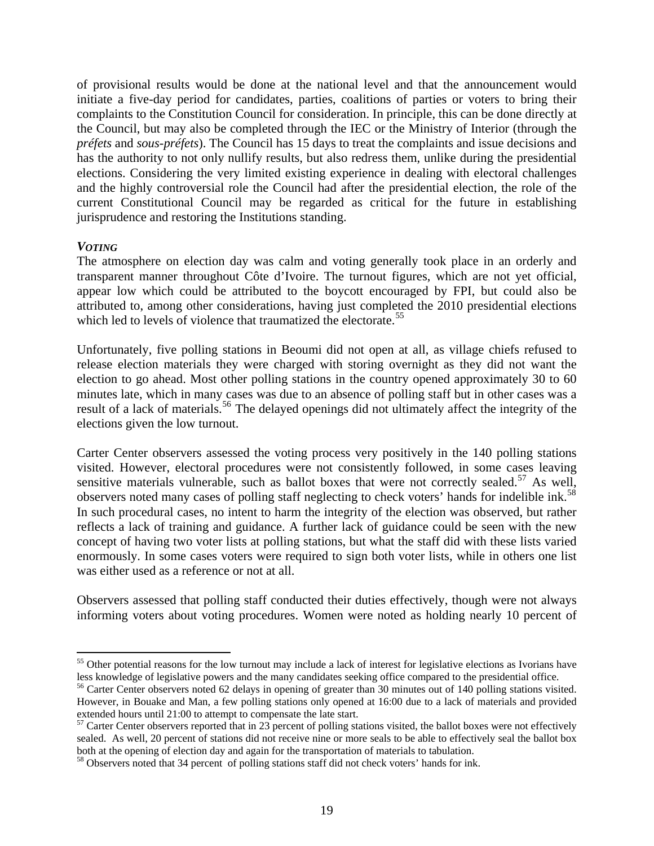of provisional results would be done at the national level and that the announcement would initiate a five-day period for candidates, parties, coalitions of parties or voters to bring their complaints to the Constitution Council for consideration. In principle, this can be done directly at the Council, but may also be completed through the IEC or the Ministry of Interior (through the *préfets* and *sous-préfets*). The Council has 15 days to treat the complaints and issue decisions and has the authority to not only nullify results, but also redress them, unlike during the presidential elections. Considering the very limited existing experience in dealing with electoral challenges and the highly controversial role the Council had after the presidential election, the role of the current Constitutional Council may be regarded as critical for the future in establishing jurisprudence and restoring the Institutions standing.

### *VOTING*

1

The atmosphere on election day was calm and voting generally took place in an orderly and transparent manner throughout Côte d'Ivoire. The turnout figures, which are not yet official, appear low which could be attributed to the boycott encouraged by FPI, but could also be attributed to, among other considerations, having just completed the 2010 presidential elections which led to levels of violence that traumatized the electorate.<sup>[55](#page-18-0)</sup>

Unfortunately, five polling stations in Beoumi did not open at all, as village chiefs refused to release election materials they were charged with storing overnight as they did not want the election to go ahead. Most other polling stations in the country opened approximately 30 to 60 minutes late, which in many cases was due to an absence of polling staff but in other cases was a result of a lack of materials.<sup>[56](#page-18-1)</sup> The delayed openings did not ultimately affect the integrity of the elections given the low turnout.

Carter Center observers assessed the voting process very positively in the 140 polling stations visited. However, electoral procedures were not consistently followed, in some cases leaving sensitive materials vulnerable, such as ballot boxes that were not correctly sealed.<sup>[57](#page-18-2)</sup> As well, observers noted many cases of polling staff neglecting to check voters' hands for indelible ink.<sup>[58](#page-18-3)</sup> In such procedural cases, no intent to harm the integrity of the election was observed, but rather reflects a lack of training and guidance. A further lack of guidance could be seen with the new concept of having two voter lists at polling stations, but what the staff did with these lists varied enormously. In some cases voters were required to sign both voter lists, while in others one list was either used as a reference or not at all.

Observers assessed that polling staff conducted their duties effectively, though were not always informing voters about voting procedures. Women were noted as holding nearly 10 percent of

<span id="page-18-0"></span><sup>&</sup>lt;sup>55</sup> Other potential reasons for the low turnout may include a lack of interest for legislative elections as Ivorians have less knowledge of legislative powers and the many candidates seeking office compared to the presidential office.<br><sup>56</sup> Carter Center observers noted 62 delays in opening of greater than 30 minutes out of 140 polling station

<span id="page-18-1"></span>However, in Bouake and Man, a few polling stations only opened at 16:00 due to a lack of materials and provided extended hours until 21:00 to attempt to compensate the late start.

<span id="page-18-2"></span> $57$  Carter Center observers reported that in 23 percent of polling stations visited, the ballot boxes were not effectively sealed. As well, 20 percent of stations did not receive nine or more seals to be able to effectively seal the ballot box both at the opening of election day and again for the transportation of materials to tabulation.

<span id="page-18-3"></span><sup>58</sup> Observers noted that 34 percent of polling stations staff did not check voters' hands for ink.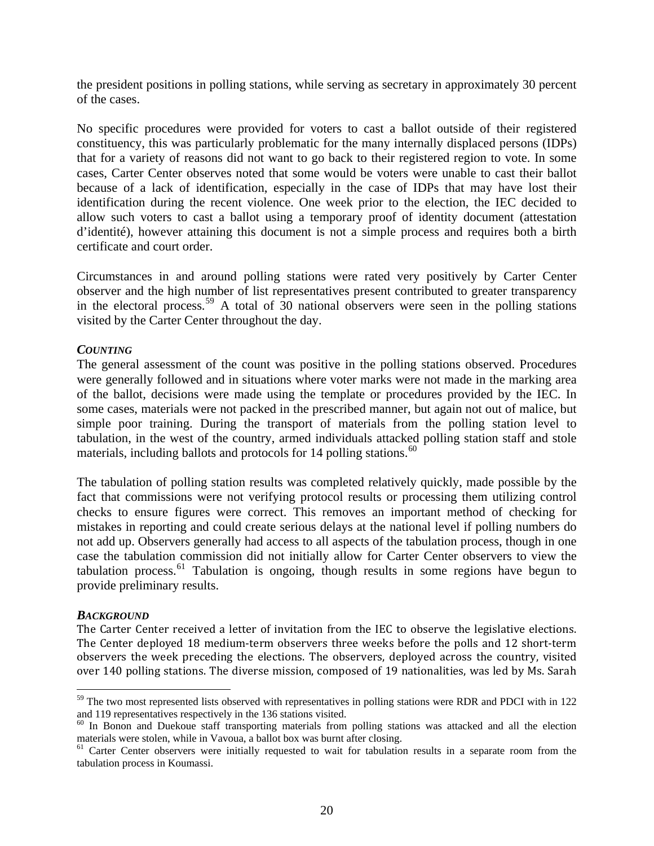the president positions in polling stations, while serving as secretary in approximately 30 percent of the cases.

No specific procedures were provided for voters to cast a ballot outside of their registered constituency, this was particularly problematic for the many internally displaced persons (IDPs) that for a variety of reasons did not want to go back to their registered region to vote. In some cases, Carter Center observes noted that some would be voters were unable to cast their ballot because of a lack of identification, especially in the case of IDPs that may have lost their identification during the recent violence. One week prior to the election, the IEC decided to allow such voters to cast a ballot using a temporary proof of identity document (attestation d'identité), however attaining this document is not a simple process and requires both a birth certificate and court order.

Circumstances in and around polling stations were rated very positively by Carter Center observer and the high number of list representatives present contributed to greater transparency in the electoral process.<sup>[59](#page-19-0)</sup> A total of  $\overline{30}$  national observers were seen in the polling stations visited by the Carter Center throughout the day.

### *COUNTING*

The general assessment of the count was positive in the polling stations observed. Procedures were generally followed and in situations where voter marks were not made in the marking area of the ballot, decisions were made using the template or procedures provided by the IEC. In some cases, materials were not packed in the prescribed manner, but again not out of malice, but simple poor training. During the transport of materials from the polling station level to tabulation, in the west of the country, armed individuals attacked polling station staff and stole materials, including ballots and protocols for 14 polling stations.<sup>[60](#page-19-1)</sup>

The tabulation of polling station results was completed relatively quickly, made possible by the fact that commissions were not verifying protocol results or processing them utilizing control checks to ensure figures were correct. This removes an important method of checking for mistakes in reporting and could create serious delays at the national level if polling numbers do not add up. Observers generally had access to all aspects of the tabulation process, though in one case the tabulation commission did not initially allow for Carter Center observers to view the tabulation process.<sup>[61](#page-19-2)</sup> Tabulation is ongoing, though results in some regions have begun to provide preliminary results.

#### *BACKGROUND*

 $\overline{a}$ 

The Carter Center received a letter of invitation from the IEC to observe the legislative elections. The Center deployed 18 medium-term observers three weeks before the polls and 12 short-term observers the week preceding the elections. The observers, deployed across the country, visited over 140 polling stations. The diverse mission, composed of 19 nationalities, was led by Ms. Sarah

<span id="page-19-0"></span><sup>&</sup>lt;sup>59</sup> The two most represented lists observed with representatives in polling stations were RDR and PDCI with in 122 and 119 representatives respectively in the 136 stations visited.

<span id="page-19-1"></span><sup>&</sup>lt;sup>60</sup> In Bonon and Duekoue staff transporting materials from polling stations was attacked and all the election materials were stolen, while in Vavoua, a ballot box was burnt after closing.

<span id="page-19-2"></span><sup>&</sup>lt;sup>61</sup> Carter Center observers were initially requested to wait for tabulation results in a separate room from the tabulation process in Koumassi.